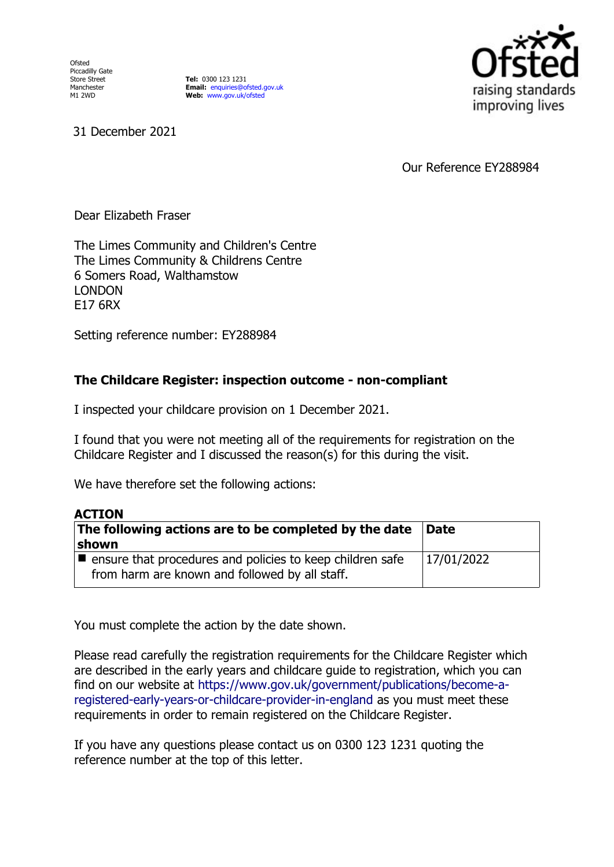Ofsted Piccadilly Gate Store Street Manchester M1 2WD

**Tel:** 0300 123 1231 **Email:** [enquiries@ofsted.gov.uk](mailto:enquiries@ofsted.gov.uk) **Web:** [www.gov.uk/ofsted](http://www.gov.uk/ofsted)



31 December 2021

Our Reference EY288984

Dear Elizabeth Fraser

The Limes Community and Children's Centre The Limes Community & Childrens Centre 6 Somers Road, Walthamstow LONDON E17 6RX

Setting reference number: EY288984

## **The Childcare Register: inspection outcome - non-compliant**

I inspected your childcare provision on 1 December 2021.

I found that you were not meeting all of the requirements for registration on the Childcare Register and I discussed the reason(s) for this during the visit.

We have therefore set the following actions:

| <b>ACTION</b>                                                                                                              |             |
|----------------------------------------------------------------------------------------------------------------------------|-------------|
| The following actions are to be completed by the date                                                                      | <b>Date</b> |
| shown                                                                                                                      |             |
| $\blacksquare$ ensure that procedures and policies to keep children safe<br>from harm are known and followed by all staff. | 17/01/2022  |

You must complete the action by the date shown.

Please read carefully the registration requirements for the Childcare Register which are described in the early years and childcare guide to registration, which you can find on our website at [https://www.gov.uk/government/publications/become-a](https://www.gov.uk/government/publications/become-a-registered-early-years-or-childcare-provider-in-england)[registered-early-years-or-childcare-provider-in-england](https://www.gov.uk/government/publications/become-a-registered-early-years-or-childcare-provider-in-england) as you must meet these requirements in order to remain registered on the Childcare Register.

If you have any questions please contact us on 0300 123 1231 quoting the reference number at the top of this letter.